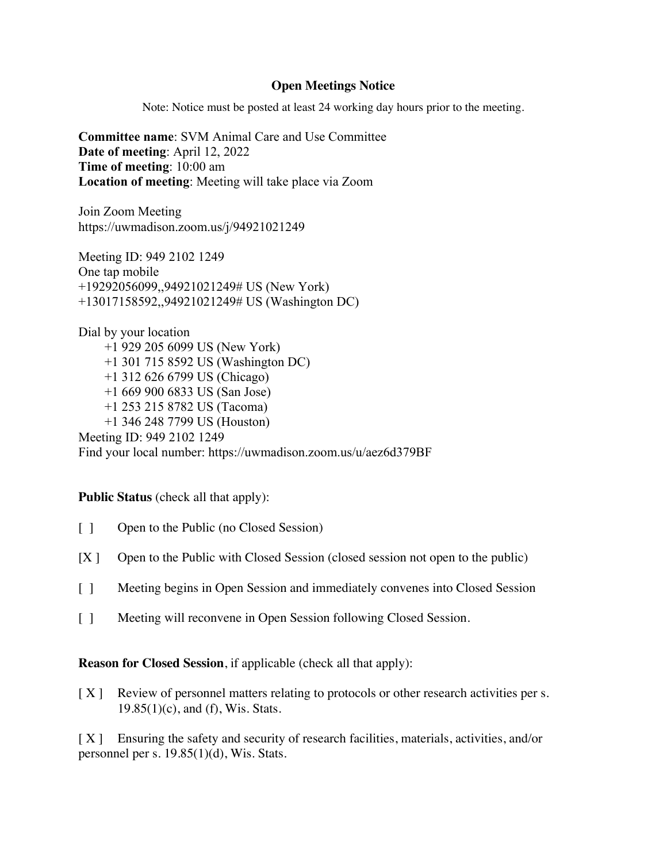## **Open Meetings Notice**

Note: Notice must be posted at least 24 working day hours prior to the meeting.

**Committee name**: SVM Animal Care and Use Committee **Date of meeting**: April 12, 2022 **Time of meeting**: 10:00 am **Location of meeting**: Meeting will take place via Zoom

Join Zoom Meeting https://uwmadison.zoom.us/j/94921021249

Meeting ID: 949 2102 1249 One tap mobile +19292056099,,94921021249# US (New York) +13017158592,,94921021249# US (Washington DC)

Dial by your location +1 929 205 6099 US (New York) +1 301 715 8592 US (Washington DC) +1 312 626 6799 US (Chicago) +1 669 900 6833 US (San Jose) +1 253 215 8782 US (Tacoma) +1 346 248 7799 US (Houston) Meeting ID: 949 2102 1249 Find your local number: https://uwmadison.zoom.us/u/aez6d379BF

## **Public Status** (check all that apply):

- [ ] Open to the Public (no Closed Session)
- [X ] Open to the Public with Closed Session (closed session not open to the public)
- [ ] Meeting begins in Open Session and immediately convenes into Closed Session
- [ ] Meeting will reconvene in Open Session following Closed Session.

**Reason for Closed Session**, if applicable (check all that apply):

[X] Review of personnel matters relating to protocols or other research activities per s.  $19.85(1)(c)$ , and (f), Wis. Stats.

[X] Ensuring the safety and security of research facilities, materials, activities, and/or personnel per s. 19.85(1)(d), Wis. Stats.